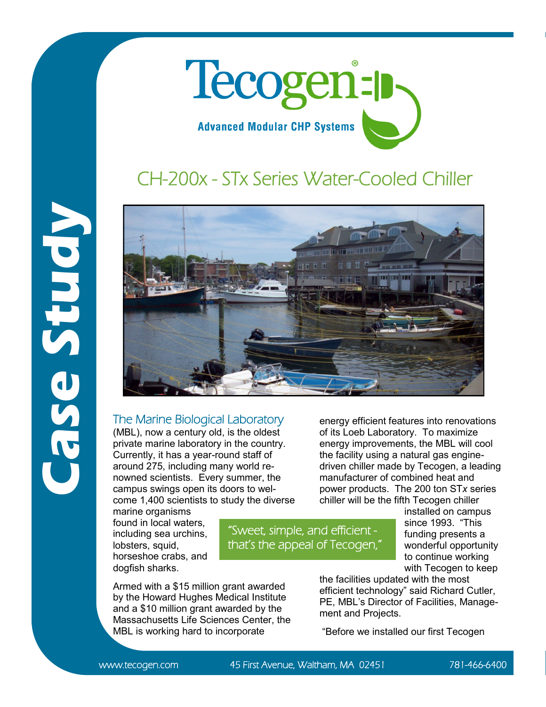

## CH-200x - STx Series Water-Cooled Chiller



## The Marine Biological Laboratory

(MBL), now a century old, is the oldest private marine laboratory in the country. Currently, it has a year-round staff of around 275, including many world renowned scientists. Every summer, the campus swings open its doors to welcome 1,400 scientists to study the diverse

marine organisms found in local waters, including sea urchins, lobsters, squid, horseshoe crabs, and dogfish sharks.

Armed with a \$15 million grant awarded by the Howard Hughes Medical Institute and a \$10 million grant awarded by the Massachusetts Life Sciences Center, the MBL is working hard to incorporate

energy efficient features into renovations of its Loeb Laboratory. To maximize energy improvements, the MBL will cool the facility using a natural gas enginedriven chiller made by Tecogen, a leading manufacturer of combined heat and power products. The 200 ton ST*x* series chiller will be the fifth Tecogen chiller

"Sweet, simple, and efficient that's the appeal of Tecogen," installed on campus since 1993. "This funding presents a wonderful opportunity to continue working with Tecogen to keep

the facilities updated with the most efficient technology" said Richard Cutler, PE, MBL's Director of Facilities, Management and Projects.

"Before we installed our first Tecogen